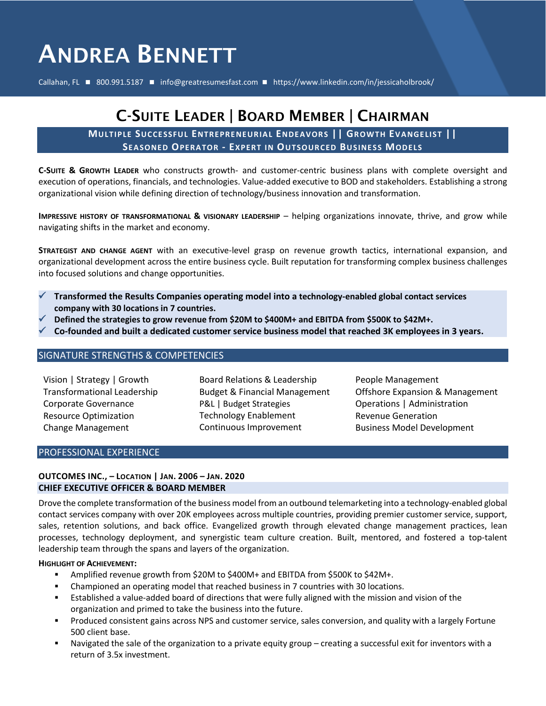# ANDREA BENNETT

Callahan, FL ◼ 800.991.5187 ◼ info@greatresumesfast.com ◼ https://www.linkedin.com/in/jessicaholbrook/

## C-SUITE LEADER | BOARD MEMBER | CHAIRMAN

**MU LTIP LE SUCCE SSFU L ENTREPRE NEURIA L ENDE AVOR S || GR OW TH EV A NGE LIST || SEA SONED OPERA TOR - EXPERT IN OU TSOUR CED BUSINE SS MODE LS**

**C-SUITE & GROWTH LEADER** who constructs growth- and customer-centric business plans with complete oversight and execution of operations, financials, and technologies. Value-added executive to BOD and stakeholders. Establishing a strong organizational vision while defining direction of technology/business innovation and transformation.

**IMPRESSIVE HISTORY OF TRANSFORMATIONAL & VISIONARY LEADERSHIP** – helping organizations innovate, thrive, and grow while navigating shifts in the market and economy.

**STRATEGIST AND CHANGE AGENT** with an executive-level grasp on revenue growth tactics, international expansion, and organizational development across the entire business cycle. Built reputation for transforming complex business challenges into focused solutions and change opportunities.

- ✓ **Transformed the Results Companies operating model into a technology-enabled global contact services company with 30 locations in 7 countries.**
- ✓ **Defined the strategies to grow revenue from \$20M to \$400M+ and EBITDA from \$500K to \$42M+.**
- ✓ **Co-founded and built a dedicated customer service business model that reached 3K employees in 3 years.**

### SIGNATURE STRENGTHS & COMPETENCIES

Vision | Strategy | Growth Transformational Leadership Corporate Governance Resource Optimization Change Management

Board Relations & Leadership Budget & Financial Management P&L | Budget Strategies Technology Enablement Continuous Improvement

People Management Offshore Expansion & Management Operations | Administration Revenue Generation Business Model Development

### PROFESSIONAL EXPERIENCE

### **OUTCOMES INC., – LOCATION | JAN. 2006 – JAN. 2020 CHIEF EXECUTIVE OFFICER & BOARD MEMBER**

Drove the complete transformation of the business model from an outbound telemarketing into a technology-enabled global contact services company with over 20K employees across multiple countries, providing premier customer service, support, sales, retention solutions, and back office. Evangelized growth through elevated change management practices, lean processes, technology deployment, and synergistic team culture creation. Built, mentored, and fostered a top-talent leadership team through the spans and layers of the organization.

#### **HIGHLIGHT OF ACHIEVEMENT:**

- Amplified revenue growth from \$20M to \$400M+ and EBITDA from \$500K to \$42M+.
- Championed an operating model that reached business in 7 countries with 30 locations.
- **Established a value-added board of directions that were fully aligned with the mission and vision of the** organization and primed to take the business into the future.
- Produced consistent gains across NPS and customer service, sales conversion, and quality with a largely Fortune 500 client base.
- Navigated the sale of the organization to a private equity group creating a successful exit for inventors with a return of 3.5x investment.